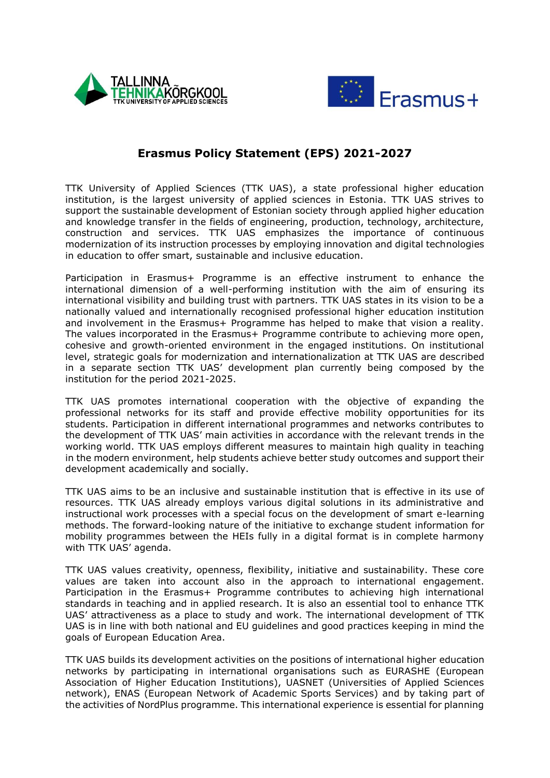



## **Erasmus Policy Statement (EPS) 2021-2027**

TTK University of Applied Sciences (TTK UAS), a state professional higher education institution, is the largest university of applied sciences in Estonia. TTK UAS strives to support the sustainable development of Estonian society through applied higher education and knowledge transfer in the fields of engineering, production, technology, architecture, construction and services. TTK UAS emphasizes the importance of continuous modernization of its instruction processes by employing innovation and digital technologies in education to offer smart, sustainable and inclusive education.

Participation in Erasmus+ Programme is an effective instrument to enhance the international dimension of a well-performing institution with the aim of ensuring its international visibility and building trust with partners. TTK UAS states in its vision to be a nationally valued and internationally recognised professional higher education institution and involvement in the Erasmus+ Programme has helped to make that vision a reality. The values incorporated in the Erasmus+ Programme contribute to achieving more open, cohesive and growth-oriented environment in the engaged institutions. On institutional level, strategic goals for modernization and internationalization at TTK UAS are described in a separate section TTK UAS' development plan currently being composed by the institution for the period 2021-2025.

TTK UAS promotes international cooperation with the objective of expanding the professional networks for its staff and provide effective mobility opportunities for its students. Participation in different international programmes and networks contributes to the development of TTK UAS' main activities in accordance with the relevant trends in the working world. TTK UAS employs different measures to maintain high quality in teaching in the modern environment, help students achieve better study outcomes and support their development academically and socially.

TTK UAS aims to be an inclusive and sustainable institution that is effective in its use of resources. TTK UAS already employs various digital solutions in its administrative and instructional work processes with a special focus on the development of smart e-learning methods. The forward-looking nature of the initiative to exchange student information for mobility programmes between the HEIs fully in a digital format is in complete harmony with TTK UAS' agenda.

TTK UAS values creativity, openness, flexibility, initiative and sustainability. These core values are taken into account also in the approach to international engagement. Participation in the Erasmus+ Programme contributes to achieving high international standards in teaching and in applied research. It is also an essential tool to enhance TTK UAS' attractiveness as a place to study and work. The international development of TTK UAS is in line with both national and EU guidelines and good practices keeping in mind the goals of European Education Area.

TTK UAS builds its development activities on the positions of international higher education networks by participating in international organisations such as EURASHE (European Association of Higher Education Institutions), UASNET (Universities of Applied Sciences network), ENAS (European Network of Academic Sports Services) and by taking part of the activities of NordPlus programme. This international experience is essential for planning